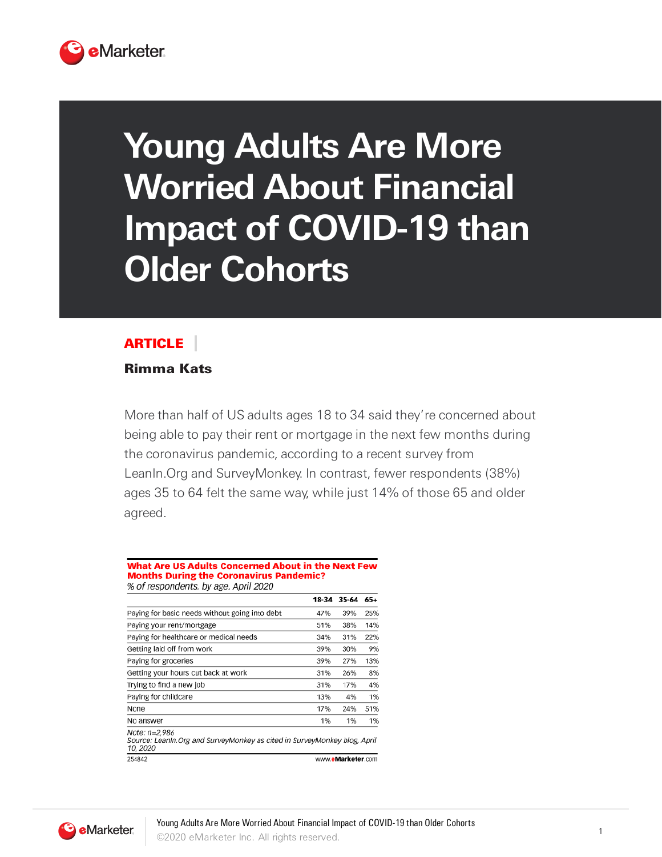

# **Young Adults Are More Worried About Financial Impact of COVID-19 than Older Cohorts**

## ARTICLE

### Rimma Kats

More than half of US adults ages 18 to 34 said they're concerned about being able to pay their rent or mortgage in the next few months during the coronavirus pandemic, according to a recent survey from LeanIn. Org and Survey Monkey. In contrast, fewer respondents (38%) ages 35 to 64 felt the same way, while just 14% of those 65 and older agreed.

#### What Are US Adults Concerned About in the Next Few **Months During the Coronavirus Pandemic?**

% of respondents, by age, April 2020

|                                                                                                        | 18-34 | 35-64             | 65+ |
|--------------------------------------------------------------------------------------------------------|-------|-------------------|-----|
| Paying for basic needs without going into debt                                                         | 47%   | 39%               | 25% |
| Paying your rent/mortgage                                                                              | 51%   | 38%               | 14% |
| Paying for healthcare or medical needs                                                                 | 34%   | 31%               | 22% |
| Getting laid off from work                                                                             | 39%   | 30%               | 9%  |
| Paying for groceries                                                                                   | 39%   | 27%               | 13% |
| Getting your hours cut back at work                                                                    | 31%   | 26%               | 8%  |
| Trying to find a new job                                                                               | 31%   | 17%               | 4%  |
| Paying for childcare                                                                                   | 13%   | 4%                | 1%  |
| None                                                                                                   | 17%   | 24%               | 51% |
| No answer                                                                                              | 1%    | 1%                | 1%  |
| Note: n=2,986<br>Source: Leanin. Org and SurveyMonkey as cited in SurveyMonkey blog, April<br>10, 2020 |       |                   |     |
| 254842                                                                                                 |       | www.eMarketer.com |     |